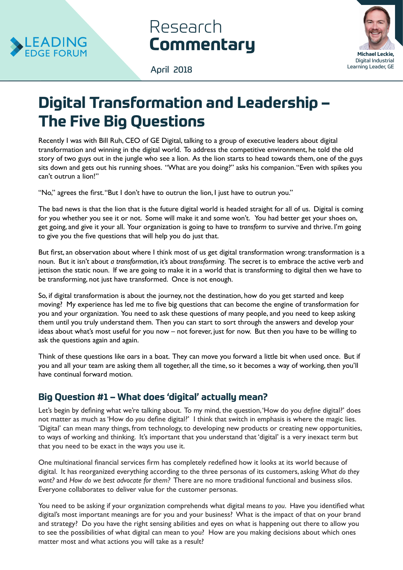

# Research **Commentary**



April 2018

# **Digital Transformation and Leadership – The Five Big Questions**

Recently I was with Bill Ruh, CEO of GE Digital, talking to a group of executive leaders about digital transformation and winning in the digital world. To address the competitive environment, he told the old story of two guys out in the jungle who see a lion. As the lion starts to head towards them, one of the guys sits down and gets out his running shoes. "What are you doing?" asks his companion. "Even with spikes you can't outrun a lion!"

"No," agrees the first. "But I don't have to outrun the lion, I just have to outrun you."

The bad news is that the lion that is the future digital world is headed straight for all of us. Digital is coming for you whether you see it or not. Some will make it and some won't. You had better get your shoes on, get going, and give it your all. Your organization is going to have to *transform* to survive and thrive. I'm going to give you the five questions that will help you do just that.

But first, an observation about where I think most of us get digital transformation wrong: transformation is a noun. But it isn't about *a transformation*, it's about *transforming*. The secret is to embrace the active verb and jettison the static noun. If we are going to make it in a world that is transforming to digital then we have to be transforming, not just have transformed. Once is not enough.

So, if digital transformation is about the journey, not the destination, how do you get started and keep moving? My experience has led me to five big questions that can become the engine of transformation for you and your organization. You need to ask these questions of many people, and you need to keep asking them until you truly understand them. Then you can start to sort through the answers and develop your ideas about what's most useful for you now – not forever, just for now. But then you have to be willing to ask the questions again and again.

Think of these questions like oars in a boat. They can move you forward a little bit when used once. But if you and all your team are asking them all together, all the time, so it becomes a way of working, then you'll have continual forward motion.

# **Big Question #1 – What does 'digital' actually mean?**

Let's begin by defining what we're talking about. To my mind, the question, 'How do you *define* digital?' does not matter as much as 'How do *you* define digital?' I think that switch in emphasis is where the magic lies. 'Digital' can mean many things, from technology, to developing new products or creating new opportunities, to ways of working and thinking. It's important that you understand that 'digital' is a very inexact term but that you need to be exact in the ways you use it.

One multinational financial services firm has completely redefined how it looks at its world because of digital. It has reorganized everything according to the three personas of its customers, asking *What do they want?* and *How do we best advocate for them?* There are no more traditional functional and business silos. Everyone collaborates to deliver value for the customer personas.

You need to be asking if your organization comprehends what digital means *to you*. Have you identified what digital's most important meanings are for you and your business? What is the impact of that on your brand and strategy? Do you have the right sensing abilities and eyes on what is happening out there to allow you to see the possibilities of what digital can mean to you? How are you making decisions about which ones matter most and what actions you will take as a result?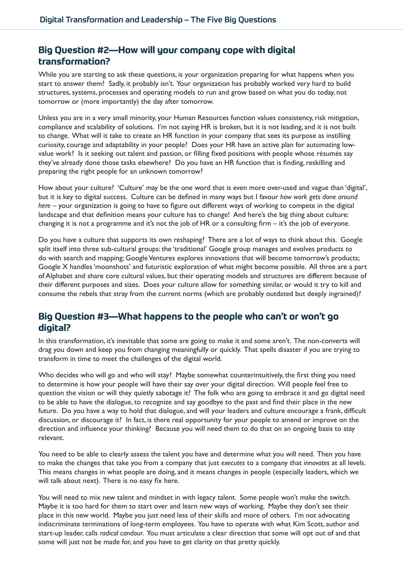## **Big Question #2—How will your company cope with digital transformation?**

While you are starting to ask these questions, is your organization preparing for what happens when you start to answer them? Sadly, it probably isn't. Your organization has probably worked very hard to build structures, systems, processes and operating models to run and grow based on what you do today, not tomorrow or (more importantly) the day after tomorrow.

Unless you are in a very small minority, your Human Resources function values consistency, risk mitigation, compliance and scalability of solutions. I'm not saying HR is broken, but it is not leading, and it is not built to change. What will it take to create an HR function in your company that sees its purpose as instilling curiosity, courage and adaptability in your people? Does your HR have an active plan for automating lowvalue work? Is it seeking out talent and passion, or filling fixed positions with people whose résumés say they've already done those tasks elsewhere? Do you have an HR function that is finding, reskilling and preparing the right people for an unknown tomorrow?

How about your culture? 'Culture' may be the one word that is even more over-used and vague than 'digital', but it is key to digital success. Culture can be defined in many ways but I favour *how work gets done around here* – your organization is going to have to figure out different ways of working to compete in the digital landscape and that definition means your culture has to change! And here's the big thing about culture: changing it is not a programme and it's not the job of HR or a consulting firm – it's the job of everyone.

Do you have a culture that supports its own reshaping? There are a lot of ways to think about this. Google split itself into three sub-cultural groups: the 'traditional' Google group manages and evolves products to do with search and mapping; Google Ventures explores innovations that will become tomorrow's products; Google X handles 'moonshots' and futuristic exploration of what might become possible. All three are a part of Alphabet and share core cultural values, but their operating models and structures are different because of their different purposes and sizes. Does your culture allow for something similar, or would it try to kill and consume the rebels that stray from the current norms (which are probably outdated but deeply ingrained)?

## **Big Question #3—What happens to the people who can't or won't go digital?**

In this transformation, it's inevitable that some are going to make it and some aren't. The non-converts will drag you down and keep you from changing meaningfully or quickly. That spells disaster if you are trying to transform in time to meet the challenges of the digital world.

Who decides who will go and who will stay? Maybe somewhat counterintuitively, the first thing you need to determine is how your people will have their say over your digital direction. Will people feel free to question the vision or will they quietly sabotage it? The folk who are going to embrace it and go digital need to be able to have the dialogue, to recognize and say goodbye to the past and find their place in the new future. Do you have a way to hold that dialogue, and will your leaders and culture encourage a frank, difficult discussion, or discourage it? In fact, is there real opportunity for your people to amend or improve on the direction and influence your thinking? Because you will need them to do that on an ongoing basis to stay relevant.

You need to be able to clearly assess the talent you have and determine what you will need. Then you have to make the changes that take you from a company that just *executes* to a company that *innovates* at all levels. This means changes in what people are doing, and it means changes in people (especially leaders, which we will talk about next). There is no easy fix here.

You will need to mix new talent and mindset in with legacy talent. Some people won't make the switch. Maybe it is too hard for them to start over and learn new ways of working. Maybe they don't see their place in this new world. Maybe you just need less of their skills and more of others. I'm not advocating indiscriminate terminations of long-term employees. You have to operate with what Kim Scott, author and start-up leader, calls *radical candour*. You must articulate a clear direction that some will opt out of and that some will just not be made for, and you have to get clarity on that pretty quickly.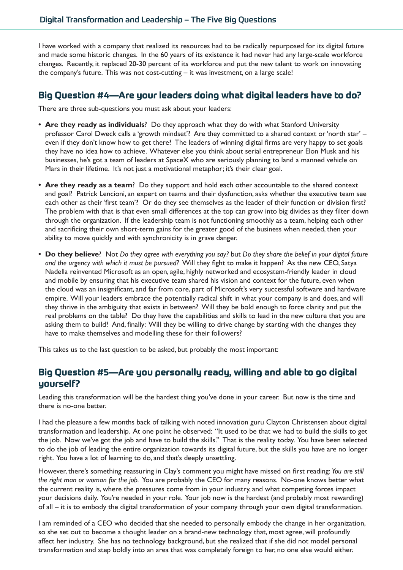I have worked with a company that realized its resources had to be radically repurposed for its digital future and made some historic changes. In the 60 years of its existence it had never had any large-scale workforce changes. Recently, it replaced 20-30 percent of its workforce and put the new talent to work on innovating the company's future. This was not cost-cutting – it was investment, on a large scale!

#### **Big Question #4—Are your leaders doing what digital leaders have to do?**

There are three sub-questions you must ask about your leaders:

- **• Are they ready as individuals**? Do they approach what they do with what Stanford University professor Carol Dweck calls a 'growth mindset'? Are they committed to a shared context or 'north star' – even if they don't know how to get there? The leaders of winning digital firms are very happy to set goals they have no idea how to achieve. Whatever else you think about serial entrepreneur Elon Musk and his businesses, he's got a team of leaders at SpaceX who are seriously planning to land a manned vehicle on Mars in their lifetime. It's not just a motivational metaphor; it's their clear goal.
- **• Are they ready as a team**? Do they support and hold each other accountable to the shared context and goal? Patrick Lencioni, an expert on teams and their dysfunction, asks whether the executive team see each other as their 'first team'? Or do they see themselves as the leader of their function or division first? The problem with that is that even small differences at the top can grow into big divides as they filter down through the organization. If the leadership team is not functioning smoothly as a team, helping each other and sacrificing their own short-term gains for the greater good of the business when needed, then your ability to move quickly and with synchronicity is in grave danger.
- **• Do they believe**? Not *Do they agree with everything you say?* but *Do they share the belief in your digital future and the urgency with which it must be pursued?* Will they fight to make it happen? As the new CEO, Satya Nadella reinvented Microsoft as an open, agile, highly networked and ecosystem-friendly leader in cloud and mobile by ensuring that his executive team shared his vision and context for the future, even when the cloud was an insignificant, and far from core, part of Microsoft's very successful software and hardware empire. Will your leaders embrace the potentially radical shift in what your company is and does, and will they thrive in the ambiguity that exists in between? Will they be bold enough to force clarity and put the real problems on the table? Do they have the capabilities and skills to lead in the new culture that you are asking them to build? And, finally: Will they be willing to drive change by starting with the changes they have to make themselves and modelling these for their followers?

This takes us to the last question to be asked, but probably the most important:

### **Big Question #5—Are you personally ready, willing and able to go digital yourself?**

Leading this transformation will be the hardest thing you've done in your career. But now is the time and there is no-one better.

I had the pleasure a few months back of talking with noted innovation guru Clayton Christensen about digital transformation and leadership. At one point he observed: "It used to be that we had to build the skills to get the job. Now we've got the job and have to build the skills." That is the reality today. You have been selected to do the job of leading the entire organization towards its digital future, but the skills you have are no longer right. You have a lot of learning to do, and that's deeply unsettling.

However, there's something reassuring in Clay's comment you might have missed on first reading: *You are still the right man or woman for the job.* You are probably the CEO for many reasons. No-one knows better what the current reality is, where the pressures come from in your industry, and what competing forces impact your decisions daily. You're needed in your role. Your job now is the hardest (and probably most rewarding) of all – it is to embody the digital transformation of your company through your own digital transformation.

I am reminded of a CEO who decided that she needed to personally embody the change in her organization, so she set out to become a thought leader on a brand-new technology that, most agree, will profoundly affect her industry. She has no technology background, but she realized that if she did not model personal transformation and step boldly into an area that was completely foreign to her, no one else would either.